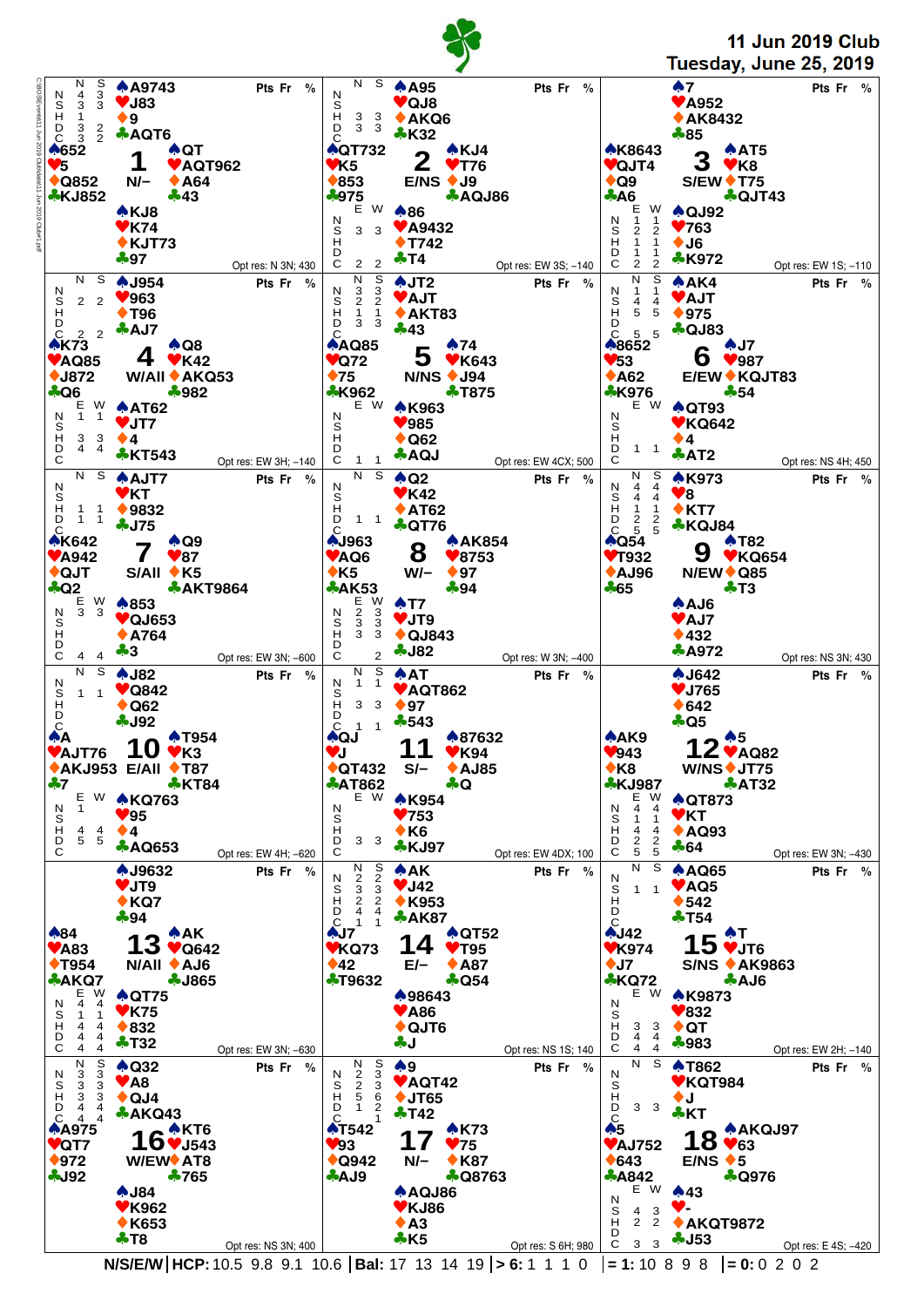